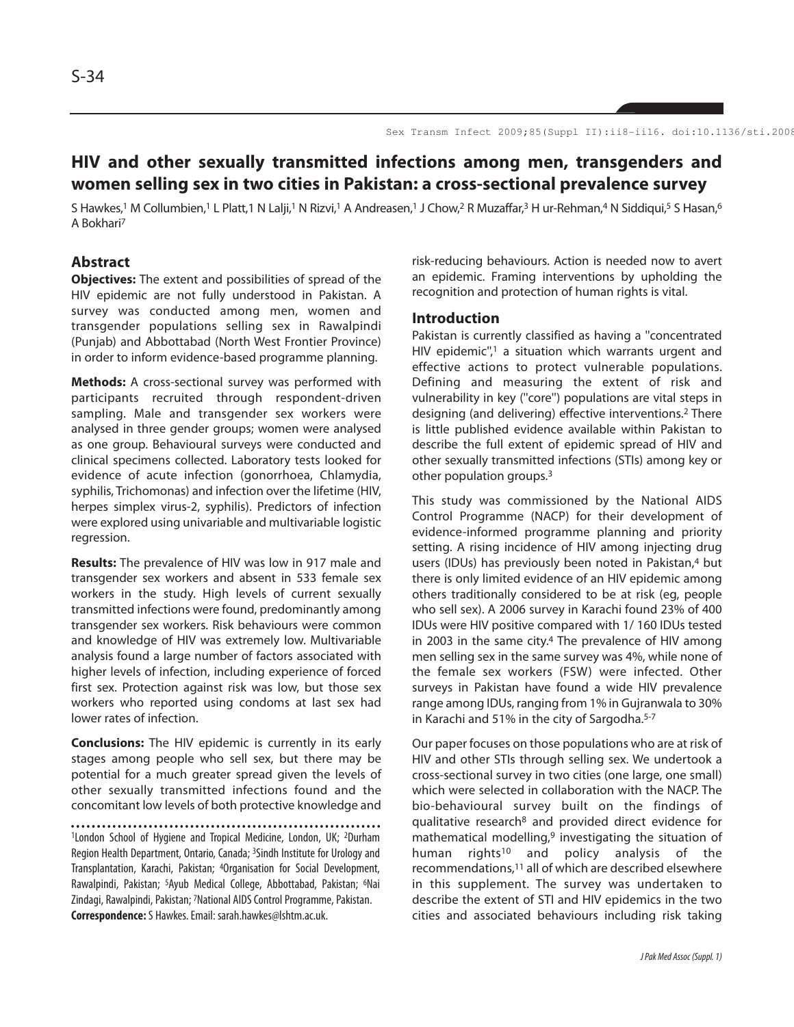# **HIV and other sexually transmitted infections among men, transgenders and women selling sex in two cities in Pakistan: a cross-sectional prevalence survey**

S Hawkes,<sup>1</sup> M Collumbien,<sup>1</sup> L Platt,1 N Lalji,<sup>1</sup> N Rizvi,<sup>1</sup> A Andreasen,<sup>1</sup> J Chow,<sup>2</sup> R Muzaffar,<sup>3</sup> H ur-Rehman,<sup>4</sup> N Siddiqui,<sup>5</sup> S Hasan,<sup>6</sup> A Bokhari<sup>7</sup>

## **Abstract**

**Objectives:** The extent and possibilities of spread of the HIV epidemic are not fully understood in Pakistan. A survey was conducted among men, women and transgender populations selling sex in Rawalpindi (Punjab) and Abbottabad (North West Frontier Province) in order to inform evidence-based programme planning.

**Methods:** A cross-sectional survey was performed with participants recruited through respondent-driven sampling. Male and transgender sex workers were analysed in three gender groups; women were analysed as one group. Behavioural surveys were conducted and clinical specimens collected. Laboratory tests looked for evidence of acute infection (gonorrhoea, Chlamydia, syphilis, Trichomonas) and infection over the lifetime (HIV, herpes simplex virus-2, syphilis). Predictors of infection were explored using univariable and multivariable logistic regression.

**Results:** The prevalence of HIV was low in 917 male and transgender sex workers and absent in 533 female sex workers in the study. High levels of current sexually transmitted infections were found, predominantly among transgender sex workers. Risk behaviours were common and knowledge of HIV was extremely low. Multivariable analysis found a large number of factors associated with higher levels of infection, including experience of forced first sex. Protection against risk was low, but those sex workers who reported using condoms at last sex had lower rates of infection.

**Conclusions:** The HIV epidemic is currently in its early stages among people who sell sex, but there may be potential for a much greater spread given the levels of other sexually transmitted infections found and the concomitant low levels of both protective knowledge and

<sup>1</sup>London School of Hygiene and Tropical Medicine, London, UK; 2Durham Region Health Department, Ontario, Canada; 3Sindh Institute for Urology and Transplantation, Karachi, Pakistan; 4Organisation for Social Development, Rawalpindi, Pakistan; 5Ayub Medical College, Abbottabad, Pakistan; 6Nai Zindagi, Rawalpindi, Pakistan; 7National AIDS Control Programme, Pakistan. **Correspondence:** S Hawkes. Email: sarah.hawkes@lshtm.ac.uk.

risk-reducing behaviours. Action is needed now to avert an epidemic. Framing interventions by upholding the recognition and protection of human rights is vital.

#### **Introduction**

Pakistan is currently classified as having a ''concentrated HIV epidemic",<sup>1</sup> a situation which warrants urgent and effective actions to protect vulnerable populations. Defining and measuring the extent of risk and vulnerability in key (''core'') populations are vital steps in designing (and delivering) effective interventions.<sup>2</sup> There is little published evidence available within Pakistan to describe the full extent of epidemic spread of HIV and other sexually transmitted infections (STIs) among key or other population groups.<sup>3</sup>

This study was commissioned by the National AIDS Control Programme (NACP) for their development of evidence-informed programme planning and priority setting. A rising incidence of HIV among injecting drug users (IDUs) has previously been noted in Pakistan,<sup>4</sup> but there is only limited evidence of an HIV epidemic among others traditionally considered to be at risk (eg, people who sell sex). A 2006 survey in Karachi found 23% of 400 IDUs were HIV positive compared with 1/ 160 IDUs tested in 2003 in the same city.<sup>4</sup> The prevalence of HIV among men selling sex in the same survey was 4%, while none of the female sex workers (FSW) were infected. Other surveys in Pakistan have found a wide HIV prevalence range among IDUs, ranging from 1% in Gujranwala to 30% in Karachi and 51% in the city of Sargodha.5-7

Our paper focuses on those populations who are at risk of HIV and other STIs through selling sex. We undertook a cross-sectional survey in two cities (one large, one small) which were selected in collaboration with the NACP. The bio-behavioural survey built on the findings of qualitative research<sup>8</sup> and provided direct evidence for mathematical modelling, $9$  investigating the situation of human rights<sup>10</sup> and policy analysis of the recommendations,<sup>11</sup> all of which are described elsewhere in this supplement. The survey was undertaken to describe the extent of STI and HIV epidemics in the two cities and associated behaviours including risk taking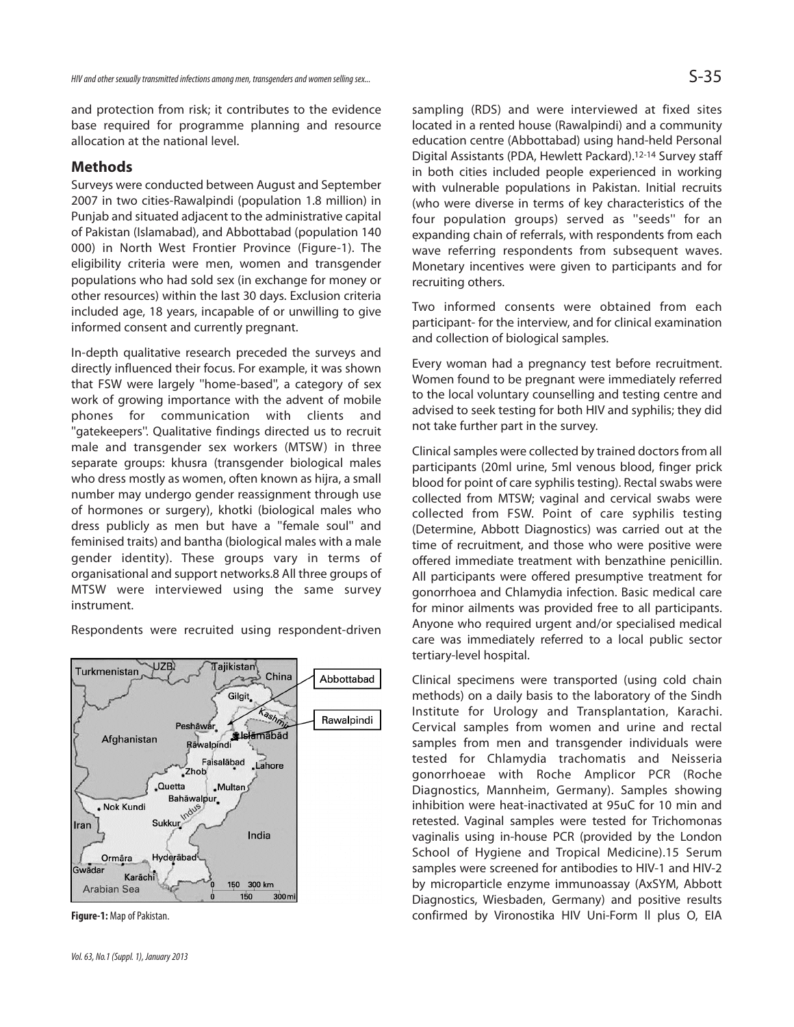and protection from risk; it contributes to the evidence base required for programme planning and resource allocation at the national level.

## **Methods**

Surveys were conducted between August and September 2007 in two cities-Rawalpindi (population 1.8 million) in Punjab and situated adjacent to the administrative capital of Pakistan (Islamabad), and Abbottabad (population 140 000) in North West Frontier Province (Figure-1). The eligibility criteria were men, women and transgender populations who had sold sex (in exchange for money or other resources) within the last 30 days. Exclusion criteria included age, 18 years, incapable of or unwilling to give informed consent and currently pregnant.

In-depth qualitative research preceded the surveys and directly influenced their focus. For example, it was shown that FSW were largely ''home-based'', a category of sex work of growing importance with the advent of mobile phones for communication with clients and ''gatekeepers''. Qualitative findings directed us to recruit male and transgender sex workers (MTSW) in three separate groups: khusra (transgender biological males who dress mostly as women, often known as hijra, a small number may undergo gender reassignment through use of hormones or surgery), khotki (biological males who dress publicly as men but have a ''female soul'' and feminised traits) and bantha (biological males with a male gender identity). These groups vary in terms of organisational and support networks.8 All three groups of MTSW were interviewed using the same survey instrument.

Respondents were recruited using respondent-driven



**Figure-1:** Map of Pakistan.

sampling (RDS) and were interviewed at fixed sites located in a rented house (Rawalpindi) and a community education centre (Abbottabad) using hand-held Personal Digital Assistants (PDA, Hewlett Packard).12-14 Survey staff in both cities included people experienced in working with vulnerable populations in Pakistan. Initial recruits (who were diverse in terms of key characteristics of the four population groups) served as ''seeds'' for an expanding chain of referrals, with respondents from each wave referring respondents from subsequent waves. Monetary incentives were given to participants and for recruiting others.

Two informed consents were obtained from each participant- for the interview, and for clinical examination and collection of biological samples.

Every woman had a pregnancy test before recruitment. Women found to be pregnant were immediately referred to the local voluntary counselling and testing centre and advised to seek testing for both HIV and syphilis; they did not take further part in the survey.

Clinical samples were collected by trained doctors from all participants (20ml urine, 5ml venous blood, finger prick blood for point of care syphilis testing). Rectal swabs were collected from MTSW; vaginal and cervical swabs were collected from FSW. Point of care syphilis testing (Determine, Abbott Diagnostics) was carried out at the time of recruitment, and those who were positive were offered immediate treatment with benzathine penicillin. All participants were offered presumptive treatment for gonorrhoea and Chlamydia infection. Basic medical care for minor ailments was provided free to all participants. Anyone who required urgent and/or specialised medical care was immediately referred to a local public sector tertiary-level hospital.

Clinical specimens were transported (using cold chain methods) on a daily basis to the laboratory of the Sindh Institute for Urology and Transplantation, Karachi. Cervical samples from women and urine and rectal samples from men and transgender individuals were tested for Chlamydia trachomatis and Neisseria gonorrhoeae with Roche Amplicor PCR (Roche Diagnostics, Mannheim, Germany). Samples showing inhibition were heat-inactivated at 95uC for 10 min and retested. Vaginal samples were tested for Trichomonas vaginalis using in-house PCR (provided by the London School of Hygiene and Tropical Medicine).15 Serum samples were screened for antibodies to HIV-1 and HIV-2 by microparticle enzyme immunoassay (AxSYM, Abbott Diagnostics, Wiesbaden, Germany) and positive results confirmed by Vironostika HIV Uni-Form ll plus O, EIA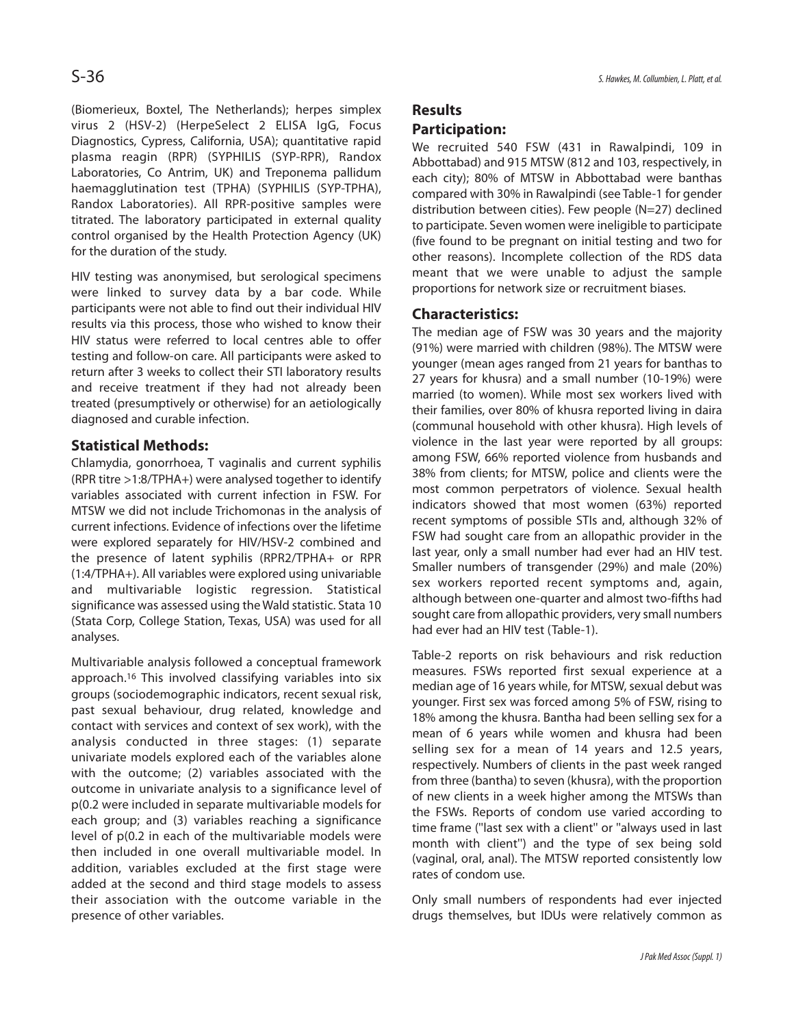(Biomerieux, Boxtel, The Netherlands); herpes simplex virus 2 (HSV-2) (HerpeSelect 2 ELISA IgG, Focus Diagnostics, Cypress, California, USA); quantitative rapid plasma reagin (RPR) (SYPHILIS (SYP-RPR), Randox Laboratories, Co Antrim, UK) and Treponema pallidum haemagglutination test (TPHA) (SYPHILIS (SYP-TPHA), Randox Laboratories). All RPR-positive samples were titrated. The laboratory participated in external quality control organised by the Health Protection Agency (UK) for the duration of the study.

HIV testing was anonymised, but serological specimens were linked to survey data by a bar code. While participants were not able to find out their individual HIV results via this process, those who wished to know their HIV status were referred to local centres able to offer testing and follow-on care. All participants were asked to return after 3 weeks to collect their STI laboratory results and receive treatment if they had not already been treated (presumptively or otherwise) for an aetiologically diagnosed and curable infection.

## **Statistical Methods:**

Chlamydia, gonorrhoea, T vaginalis and current syphilis (RPR titre >1:8/TPHA+) were analysed together to identify variables associated with current infection in FSW. For MTSW we did not include Trichomonas in the analysis of current infections. Evidence of infections over the lifetime were explored separately for HIV/HSV-2 combined and the presence of latent syphilis (RPR2/TPHA+ or RPR (1:4/TPHA+). All variables were explored using univariable and multivariable logistic regression. Statistical significance was assessed using the Wald statistic. Stata 10 (Stata Corp, College Station, Texas, USA) was used for all analyses.

Multivariable analysis followed a conceptual framework approach.<sup>16</sup> This involved classifying variables into six groups (sociodemographic indicators, recent sexual risk, past sexual behaviour, drug related, knowledge and contact with services and context of sex work), with the analysis conducted in three stages: (1) separate univariate models explored each of the variables alone with the outcome; (2) variables associated with the outcome in univariate analysis to a significance level of p(0.2 were included in separate multivariable models for each group; and (3) variables reaching a significance level of p(0.2 in each of the multivariable models were then included in one overall multivariable model. In addition, variables excluded at the first stage were added at the second and third stage models to assess their association with the outcome variable in the presence of other variables.

## **Results Participation:**

We recruited 540 FSW (431 in Rawalpindi, 109 in Abbottabad) and 915 MTSW (812 and 103, respectively, in each city); 80% of MTSW in Abbottabad were banthas compared with 30% in Rawalpindi (see Table-1 for gender distribution between cities). Few people (N=27) declined to participate. Seven women were ineligible to participate (five found to be pregnant on initial testing and two for other reasons). Incomplete collection of the RDS data meant that we were unable to adjust the sample proportions for network size or recruitment biases.

#### **Characteristics:**

The median age of FSW was 30 years and the majority (91%) were married with children (98%). The MTSW were younger (mean ages ranged from 21 years for banthas to 27 years for khusra) and a small number (10-19%) were married (to women). While most sex workers lived with their families, over 80% of khusra reported living in daira (communal household with other khusra). High levels of violence in the last year were reported by all groups: among FSW, 66% reported violence from husbands and 38% from clients; for MTSW, police and clients were the most common perpetrators of violence. Sexual health indicators showed that most women (63%) reported recent symptoms of possible STIs and, although 32% of FSW had sought care from an allopathic provider in the last year, only a small number had ever had an HIV test. Smaller numbers of transgender (29%) and male (20%) sex workers reported recent symptoms and, again, although between one-quarter and almost two-fifths had sought care from allopathic providers, very small numbers had ever had an HIV test (Table-1).

Table-2 reports on risk behaviours and risk reduction measures. FSWs reported first sexual experience at a median age of 16 years while, for MTSW, sexual debut was younger. First sex was forced among 5% of FSW, rising to 18% among the khusra. Bantha had been selling sex for a mean of 6 years while women and khusra had been selling sex for a mean of 14 years and 12.5 years, respectively. Numbers of clients in the past week ranged from three (bantha) to seven (khusra), with the proportion of new clients in a week higher among the MTSWs than the FSWs. Reports of condom use varied according to time frame (''last sex with a client'' or ''always used in last month with client'') and the type of sex being sold (vaginal, oral, anal). The MTSW reported consistently low rates of condom use.

Only small numbers of respondents had ever injected drugs themselves, but IDUs were relatively common as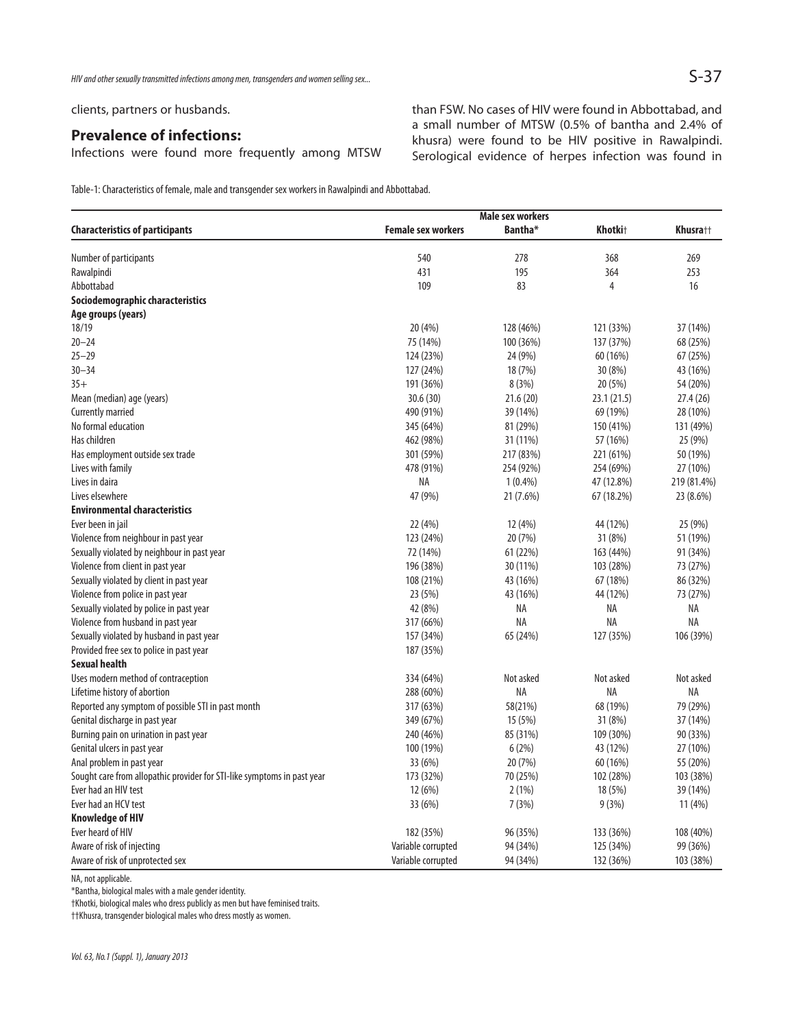clients, partners or husbands.

## **Prevalence of infections:**

Infections were found more frequently among MTSW

than FSW. No cases of HIV were found in Abbottabad, and a small number of MTSW (0.5% of bantha and 2.4% of khusra) were found to be HIV positive in Rawalpindi. Serological evidence of herpes infection was found in

Table-1: Characteristics of female, male and transgender sex workers in Rawalpindi and Abbottabad.

|                                                                         | <b>Male sex workers</b>   |                     |                     |             |
|-------------------------------------------------------------------------|---------------------------|---------------------|---------------------|-------------|
| <b>Characteristics of participants</b>                                  | <b>Female sex workers</b> | Bantha <sup>*</sup> | Khotki <sup>+</sup> | Khusra††    |
| Number of participants                                                  | 540                       | 278                 | 368                 | 269         |
| Rawalpindi                                                              | 431                       | 195                 | 364                 | 253         |
| Abbottabad                                                              | 109                       | 83                  | 4                   | 16          |
| Sociodemographic characteristics                                        |                           |                     |                     |             |
| Age groups (years)                                                      |                           |                     |                     |             |
| 18/19                                                                   | 20 (4%)                   | 128 (46%)           | 121 (33%)           | 37 (14%)    |
| $20 - 24$                                                               | 75 (14%)                  | 100 (36%)           | 137 (37%)           | 68 (25%)    |
| $25 - 29$                                                               | 124 (23%)                 | 24 (9%)             | 60 (16%)            | 67 (25%)    |
| $30 - 34$                                                               | 127 (24%)                 | 18 (7%)             | 30 (8%)             | 43 (16%)    |
| $35+$                                                                   | 191 (36%)                 | 8(3%)               | 20 (5%)             | 54 (20%)    |
| Mean (median) age (years)                                               | 30.6(30)                  | 21.6(20)            | 23.1 (21.5)         | 27.4(26)    |
| Currently married                                                       | 490 (91%)                 | 39 (14%)            | 69 (19%)            | 28 (10%)    |
| No formal education                                                     | 345 (64%)                 | 81 (29%)            | 150 (41%)           | 131 (49%)   |
| Has children                                                            | 462 (98%)                 | 31 (11%)            | 57 (16%)            | 25 (9%)     |
| Has employment outside sex trade                                        | 301 (59%)                 | 217 (83%)           | 221 (61%)           | 50 (19%)    |
| Lives with family                                                       | 478 (91%)                 | 254 (92%)           | 254 (69%)           | 27 (10%)    |
| Lives in daira                                                          | ΝA                        | $1(0.4\%)$          | 47 (12.8%)          | 219 (81.4%) |
| Lives elsewhere                                                         | 47 (9%)                   | 21 (7.6%)           | 67 (18.2%)          | 23 (8.6%)   |
| <b>Environmental characteristics</b>                                    |                           |                     |                     |             |
| Ever been in jail                                                       | 22 (4%)                   | 12 (4%)             | 44 (12%)            | 25 (9%)     |
| Violence from neighbour in past year                                    | 123 (24%)                 | 20 (7%)             | 31 (8%)             | 51 (19%)    |
| Sexually violated by neighbour in past year                             | 72 (14%)                  | 61 (22%)            | 163 (44%)           | 91 (34%)    |
| Violence from client in past year                                       | 196 (38%)                 | 30 (11%)            | 103 (28%)           | 73 (27%)    |
| Sexually violated by client in past year                                | 108 (21%)                 | 43 (16%)            | 67 (18%)            | 86 (32%)    |
| Violence from police in past year                                       | 23 (5%)                   | 43 (16%)            | 44 (12%)            | 73 (27%)    |
| Sexually violated by police in past year                                | 42 (8%)                   | NA                  | ΝA                  | ΝA          |
| Violence from husband in past year                                      | 317 (66%)                 | <b>NA</b>           | ΝA                  | <b>NA</b>   |
| Sexually violated by husband in past year                               | 157 (34%)                 | 65 (24%)            | 127 (35%)           | 106 (39%)   |
| Provided free sex to police in past year                                | 187 (35%)                 |                     |                     |             |
| <b>Sexual health</b>                                                    |                           |                     |                     |             |
| Uses modern method of contraception                                     | 334 (64%)                 | Not asked           | Not asked           | Not asked   |
| Lifetime history of abortion                                            | 288 (60%)                 | NA                  | ΝA                  | NA          |
| Reported any symptom of possible STI in past month                      | 317 (63%)                 | 58(21%)             | 68 (19%)            | 79 (29%)    |
| Genital discharge in past year                                          | 349 (67%)                 | 15 (5%)             | 31 (8%)             | 37 (14%)    |
| Burning pain on urination in past year                                  | 240 (46%)                 | 85 (31%)            | 109 (30%)           | 90 (33%)    |
| Genital ulcers in past year                                             | 100 (19%)                 | 6(2%)               | 43 (12%)            | 27 (10%)    |
| Anal problem in past year                                               | 33 (6%)                   | 20 (7%)             | 60(16%)             | 55 (20%)    |
| Sought care from allopathic provider for STI-like symptoms in past year | 173 (32%)                 | 70 (25%)            | 102 (28%)           | 103 (38%)   |
| Ever had an HIV test                                                    | 12(6%)                    | 2(1%)               | 18 (5%)             | 39 (14%)    |
| Ever had an HCV test                                                    | 33 (6%)                   | 7(3%)               | 9(3%)               | 11(4%)      |
| <b>Knowledge of HIV</b>                                                 |                           |                     |                     |             |
| Ever heard of HIV                                                       | 182 (35%)                 | 96 (35%)            | 133 (36%)           | 108 (40%)   |
| Aware of risk of injecting                                              | Variable corrupted        | 94 (34%)            | 125 (34%)           | 99 (36%)    |
| Aware of risk of unprotected sex                                        | Variable corrupted        | 94 (34%)            | 132 (36%)           | 103 (38%)   |

NA, not applicable.

\*Bantha, biological males with a male gender identity.

†Khotki, biological males who dress publicly as men but have feminised traits.

††Khusra, transgender biological males who dress mostly as women.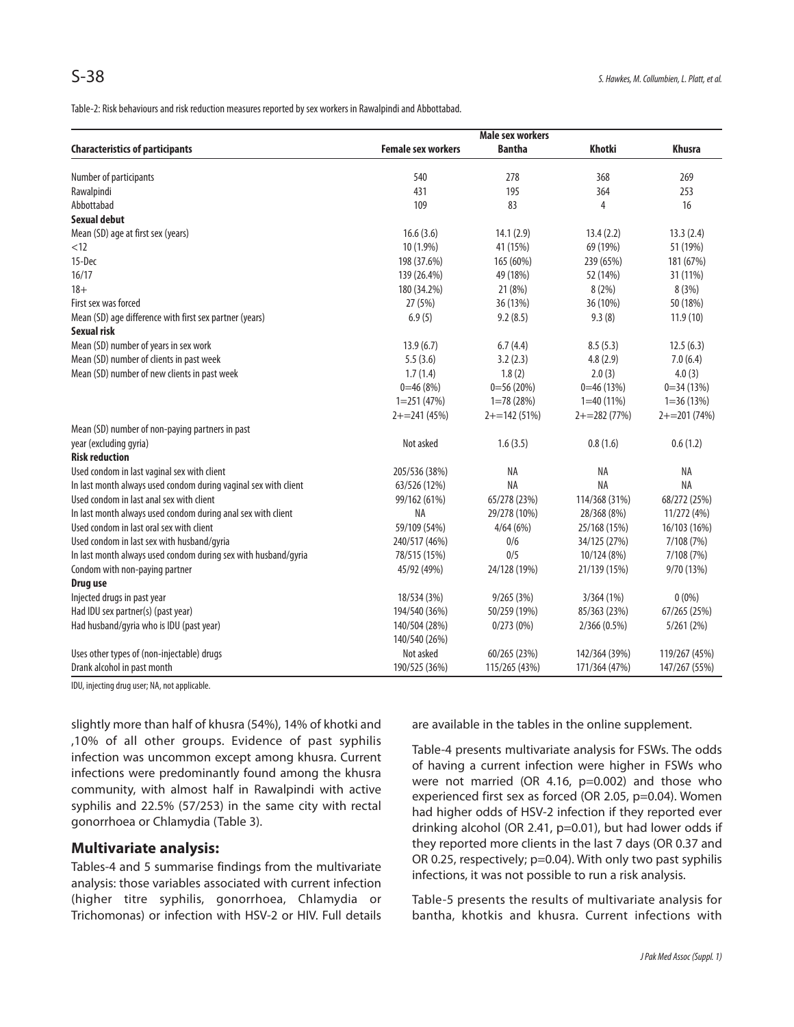Table-2: Risk behaviours and risk reduction measures reported by sex workers in Rawalpindi and Abbottabad.

|                                                                 | <b>Male sex workers</b>   |                 |                 |                 |
|-----------------------------------------------------------------|---------------------------|-----------------|-----------------|-----------------|
| <b>Characteristics of participants</b>                          | <b>Female sex workers</b> | <b>Bantha</b>   | <b>Khotki</b>   | <b>Khusra</b>   |
| Number of participants                                          | 540                       | 278             | 368             | 269             |
| Rawalpindi                                                      | 431                       | 195             | 364             | 253             |
| Abbottabad                                                      | 109                       | 83              | 4               | 16              |
| Sexual debut                                                    |                           |                 |                 |                 |
| Mean (SD) age at first sex (years)                              | 16.6(3.6)                 | 14.1(2.9)       | 13.4(2.2)       | 13.3(2.4)       |
| < 12                                                            | 10 (1.9%)                 | 41 (15%)        | 69 (19%)        | 51 (19%)        |
| 15-Dec                                                          | 198 (37.6%)               | 165 (60%)       | 239 (65%)       | 181 (67%)       |
| 16/17                                                           | 139 (26.4%)               | 49 (18%)        | 52 (14%)        | 31 (11%)        |
| $18+$                                                           | 180 (34.2%)               | 21 (8%)         | 8(2%)           | 8 (3%)          |
| First sex was forced                                            | 27 (5%)                   | 36 (13%)        | 36 (10%)        | 50 (18%)        |
| Mean (SD) age difference with first sex partner (years)         | 6.9(5)                    | 9.2(8.5)        | 9.3(8)          | 11.9(10)        |
| <b>Sexual risk</b>                                              |                           |                 |                 |                 |
| Mean (SD) number of years in sex work                           | 13.9(6.7)                 | 6.7(4.4)        | 8.5(5.3)        | 12.5(6.3)       |
| Mean (SD) number of clients in past week                        | 5.5(3.6)                  | 3.2(2.3)        | 4.8(2.9)        | 7.0(6.4)        |
| Mean (SD) number of new clients in past week                    | 1.7(1.4)                  | 1.8(2)          | 2.0(3)          | 4.0(3)          |
|                                                                 | $0=46(8%)$                | $0=56(20%)$     | $0=46(13%)$     | $0=34(13%)$     |
|                                                                 | $1=251(47%)$              | $1=78(28%)$     | $1=40(11\%)$    | $1=36(13%)$     |
|                                                                 | $2+ = 241(45%)$           | $2+ = 142(51%)$ | $2+ = 282(77%)$ | $2+ = 201(74%)$ |
| Mean (SD) number of non-paying partners in past                 |                           |                 |                 |                 |
| year (excluding gyria)                                          | Not asked                 | 1.6(3.5)        | 0.8(1.6)        | 0.6(1.2)        |
| <b>Risk reduction</b>                                           |                           |                 |                 |                 |
| Used condom in last vaginal sex with client                     | 205/536 (38%)             | NA              | NA              | NA              |
| In last month always used condom during vaginal sex with client | 63/526 (12%)              | NA              | <b>NA</b>       | <b>NA</b>       |
| Used condom in last anal sex with client                        | 99/162 (61%)              | 65/278 (23%)    | 114/368 (31%)   | 68/272 (25%)    |
| In last month always used condom during anal sex with client    | <b>NA</b>                 | 29/278 (10%)    | 28/368 (8%)     | 11/272 (4%)     |
| Used condom in last oral sex with client                        | 59/109 (54%)              | 4/64(6%)        | 25/168 (15%)    | 16/103 (16%)    |
| Used condom in last sex with husband/gyria                      | 240/517 (46%)             | 0/6             | 34/125 (27%)    | 7/108 (7%)      |
| In last month always used condom during sex with husband/gyria  | 78/515 (15%)              | 0/5             | 10/124 (8%)     | 7/108 (7%)      |
| Condom with non-paying partner                                  | 45/92 (49%)               | 24/128 (19%)    | 21/139 (15%)    | 9/70 (13%)      |
| Drug use                                                        |                           |                 |                 |                 |
| Injected drugs in past year                                     | 18/534 (3%)               | 9/265(3%)       | 3/364(1%)       | $0(0\%)$        |
| Had IDU sex partner(s) (past year)                              | 194/540 (36%)             | 50/259 (19%)    | 85/363 (23%)    | 67/265 (25%)    |
| Had husband/gyria who is IDU (past year)                        | 140/504 (28%)             | 0/273(0%)       | 2/366(0.5%)     | 5/261(2%)       |
|                                                                 | 140/540 (26%)             |                 |                 |                 |
| Uses other types of (non-injectable) drugs                      | Not asked                 | 60/265 (23%)    | 142/364 (39%)   | 119/267 (45%)   |
| Drank alcohol in past month                                     | 190/525 (36%)             | 115/265 (43%)   | 171/364 (47%)   | 147/267 (55%)   |

IDU, injecting drug user; NA, not applicable.

slightly more than half of khusra (54%), 14% of khotki and ,10% of all other groups. Evidence of past syphilis infection was uncommon except among khusra. Current infections were predominantly found among the khusra community, with almost half in Rawalpindi with active syphilis and 22.5% (57/253) in the same city with rectal gonorrhoea or Chlamydia (Table 3).

#### **Multivariate analysis:**

Tables-4 and 5 summarise findings from the multivariate analysis: those variables associated with current infection (higher titre syphilis, gonorrhoea, Chlamydia or Trichomonas) or infection with HSV-2 or HIV. Full details are available in the tables in the online supplement.

Table-4 presents multivariate analysis for FSWs. The odds of having a current infection were higher in FSWs who were not married (OR 4.16, p=0.002) and those who experienced first sex as forced (OR 2.05, p=0.04). Women had higher odds of HSV-2 infection if they reported ever drinking alcohol (OR 2.41, p=0.01), but had lower odds if they reported more clients in the last 7 days (OR 0.37 and OR 0.25, respectively; p=0.04). With only two past syphilis infections, it was not possible to run a risk analysis.

Table-5 presents the results of multivariate analysis for bantha, khotkis and khusra. Current infections with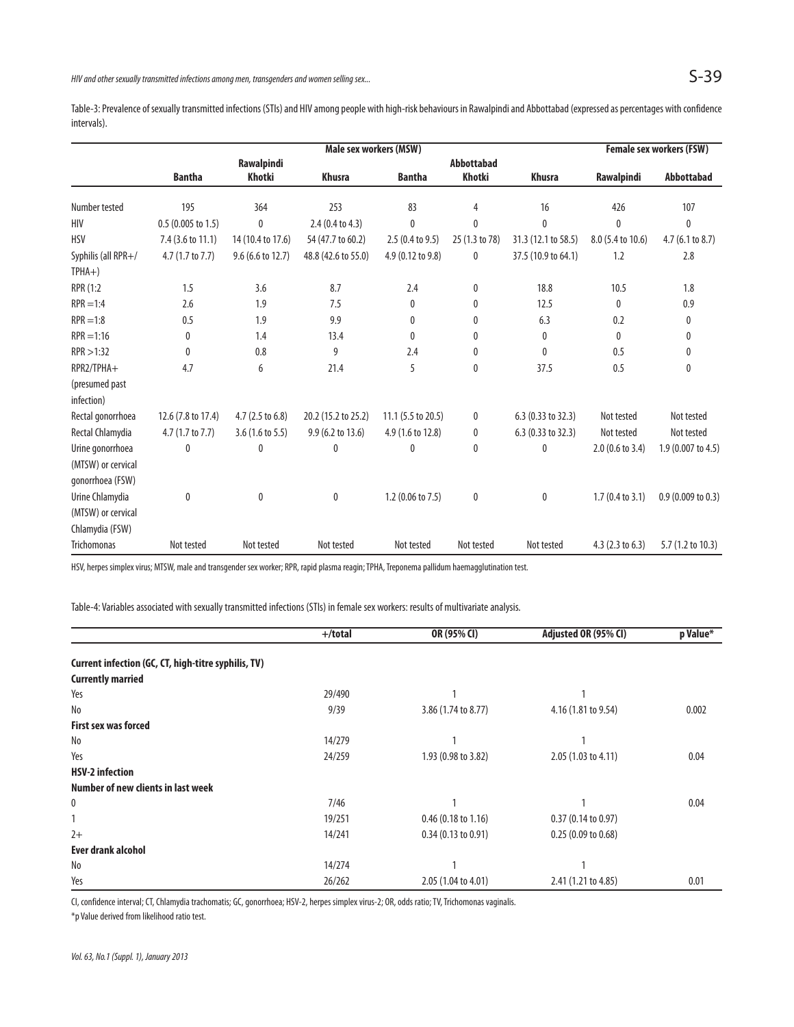Table-3: Prevalence of sexually transmitted infections (STIs) and HIV among people with high-risk behaviours in Rawalpindi and Abbottabad (expressed as percentages with confidence intervals).

|                     | Male sex workers (MSW)       |                            |                            |                            |                   |                     | <b>Female sex workers (FSW)</b> |                    |
|---------------------|------------------------------|----------------------------|----------------------------|----------------------------|-------------------|---------------------|---------------------------------|--------------------|
|                     |                              | Rawalpindi                 |                            |                            | <b>Abbottabad</b> |                     |                                 |                    |
|                     | <b>Bantha</b>                | Khotki                     | <b>Khusra</b>              | <b>Bantha</b>              | <b>Khotki</b>     | <b>Khusra</b>       | Rawalpindi                      | <b>Abbottabad</b>  |
| Number tested       | 195                          | 364                        | 253                        | 83                         | 4                 | 16                  | 426                             | 107                |
| HIV                 | $0.5(0.005 \text{ to } 1.5)$ | 0                          | $2.4(0.4 \text{ to } 4.3)$ | $\mathbf{0}$               | 0                 | $\mathbf{0}$        | 0                               | 0                  |
| <b>HSV</b>          | 7.4 (3.6 to 11.1)            | 14 (10.4 to 17.6)          | 54 (47.7 to 60.2)          | $2.5(0.4 \text{ to } 9.5)$ | 25 (1.3 to 78)    | 31.3 (12.1 to 58.5) | 8.0 (5.4 to 10.6)               | 4.7 (6.1 to 8.7)   |
| Syphilis (all RPR+/ | 4.7 (1.7 to 7.7)             | $9.6$ (6.6 to 12.7)        | 48.8 (42.6 to 55.0)        | 4.9 (0.12 to 9.8)          | 0                 | 37.5 (10.9 to 64.1) | 1.2                             | 2.8                |
| $TPHA+)$            |                              |                            |                            |                            |                   |                     |                                 |                    |
| RPR (1:2            | 1.5                          | 3.6                        | 8.7                        | 2.4                        | 0                 | 18.8                | 10.5                            | 1.8                |
| $RPR = 1:4$         | 2.6                          | 1.9                        | 7.5                        | 0                          | 0                 | 12.5                | $\mathbf{0}$                    | 0.9                |
| $RPR = 1:8$         | 0.5                          | 1.9                        | 9.9                        | 0                          | 0                 | 6.3                 | 0.2                             | 0                  |
| $RPR = 1:16$        | 0                            | 1.4                        | 13.4                       | $\mathbf{0}$               | 0                 | 0                   | $\Omega$                        | 0                  |
| RPR > 1:32          | $\mathbf{0}$                 | 0.8                        | 9                          | 2.4                        | 0                 | $\mathbf{0}$        | 0.5                             | 0                  |
| RPR2/TPHA+          | 4.7                          | 6                          | 21.4                       | 5                          | 0                 | 37.5                | 0.5                             | 0                  |
| (presumed past      |                              |                            |                            |                            |                   |                     |                                 |                    |
| infection)          |                              |                            |                            |                            |                   |                     |                                 |                    |
| Rectal gonorrhoea   | 12.6 (7.8 to 17.4)           | 4.7 (2.5 to 6.8)           | 20.2 (15.2 to 25.2)        | 11.1 (5.5 to 20.5)         | 0                 | 6.3 (0.33 to 32.3)  | Not tested                      | Not tested         |
| Rectal Chlamydia    | 4.7 (1.7 to 7.7)             | $3.6(1.6 \text{ to } 5.5)$ | 9.9 (6.2 to 13.6)          | 4.9 (1.6 to 12.8)          | 0                 | 6.3 (0.33 to 32.3)  | Not tested                      | Not tested         |
| Urine gonorrhoea    | 0                            | 0                          | 0                          | 0                          | 0                 | 0                   | 2.0 (0.6 to 3.4)                | 1.9 (0.007 to 4.5) |
| (MTSW) or cervical  |                              |                            |                            |                            |                   |                     |                                 |                    |
| gonorrhoea (FSW)    |                              |                            |                            |                            |                   |                     |                                 |                    |
| Urine Chlamydia     | $\mathbf{0}$                 | 0                          | $\mathbf 0$                | $1.2$ (0.06 to 7.5)        | 0                 | 0                   | $1.7(0.4 \text{ to } 3.1)$      | 0.9(0.009 to 0.3)  |
| (MTSW) or cervical  |                              |                            |                            |                            |                   |                     |                                 |                    |
| Chlamydia (FSW)     |                              |                            |                            |                            |                   |                     |                                 |                    |
| <b>Trichomonas</b>  | Not tested                   | Not tested                 | Not tested                 | Not tested                 | Not tested        | Not tested          | 4.3 (2.3 to 6.3)                | 5.7 (1.2 to 10.3)  |

HSV, herpes simplex virus; MTSW, male and transgender sex worker; RPR, rapid plasma reagin; TPHA, Treponema pallidum haemagglutination test.

Table-4: Variables associated with sexually transmitted infections (STIs) in female sex workers: results of multivariate analysis.

|                                                     | $+$ /total | OR (95% CI)                   | Adjusted OR (95% CI)          | p Value* |
|-----------------------------------------------------|------------|-------------------------------|-------------------------------|----------|
| Current infection (GC, CT, high-titre syphilis, TV) |            |                               |                               |          |
| <b>Currently married</b>                            |            |                               |                               |          |
| Yes                                                 | 29/490     |                               |                               |          |
| No                                                  | 9/39       | 3.86 (1.74 to 8.77)           | 4.16 (1.81 to 9.54)           | 0.002    |
| <b>First sex was forced</b>                         |            |                               |                               |          |
| No                                                  | 14/279     |                               |                               |          |
| Yes                                                 | 24/259     | 1.93 (0.98 to 3.82)           | 2.05 (1.03 to 4.11)           | 0.04     |
| <b>HSV-2 infection</b>                              |            |                               |                               |          |
| Number of new clients in last week                  |            |                               |                               |          |
| 0                                                   | 7/46       |                               |                               | 0.04     |
|                                                     | 19/251     | $0.46$ (0.18 to 1.16)         | $0.37(0.14 \text{ to } 0.97)$ |          |
| $2+$                                                | 14/241     | $0.34(0.13 \text{ to } 0.91)$ | 0.25(0.09 to 0.68)            |          |
| Ever drank alcohol                                  |            |                               |                               |          |
| No                                                  | 14/274     |                               |                               |          |
| Yes                                                 | 26/262     | 2.05 (1.04 to 4.01)           | 2.41 (1.21 to 4.85)           | 0.01     |

CI, confidence interval; CT, Chlamydia trachomatis; GC, gonorrhoea; HSV-2, herpes simplex virus-2; OR, odds ratio; TV, Trichomonas vaginalis.

\*p Value derived from likelihood ratio test.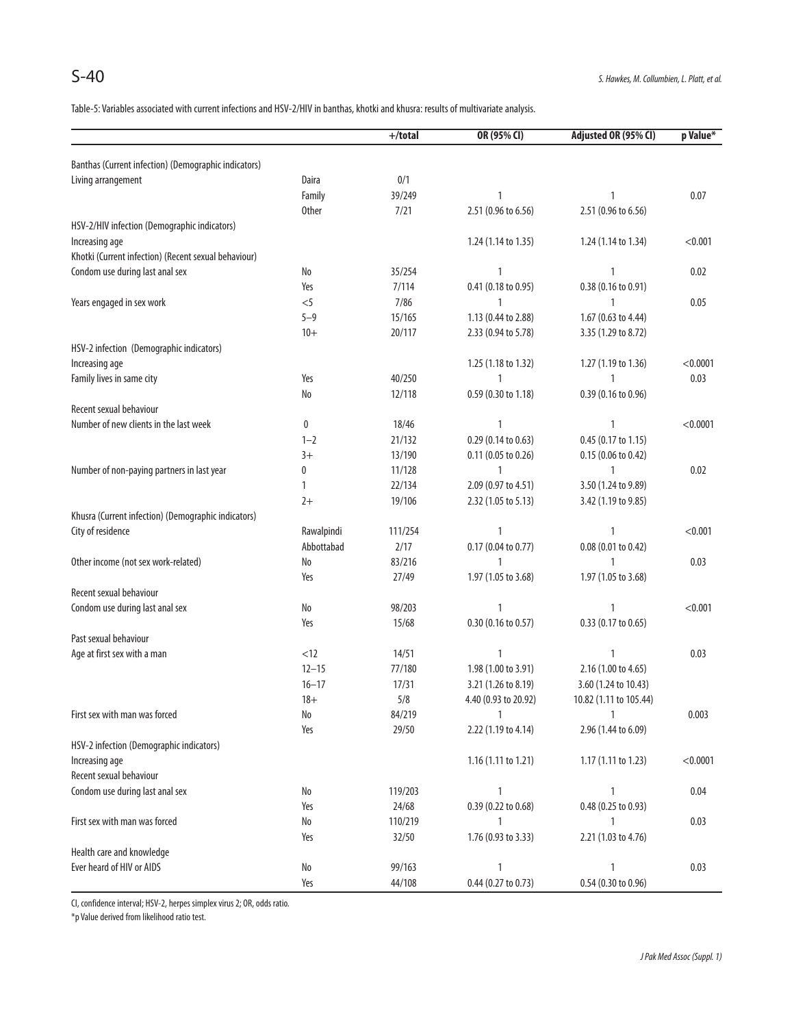Table-5: Variables associated with current infections and HSV-2/HIV in banthas, khotki and khusra: results of multivariate analysis.

|                                                      |              | $+/total$    | OR (95% CI)          | Adjusted OR (95% CI)   | p Value* |
|------------------------------------------------------|--------------|--------------|----------------------|------------------------|----------|
| Banthas (Current infection) (Demographic indicators) |              |              |                      |                        |          |
| Living arrangement                                   | Daira        | 0/1          |                      |                        |          |
|                                                      | Family       | 39/249       | 1                    | $\mathbf{1}$           | 0.07     |
|                                                      | <b>Other</b> | 7/21         | 2.51 (0.96 to 6.56)  | 2.51 (0.96 to 6.56)    |          |
|                                                      |              |              |                      |                        |          |
| HSV-2/HIV infection (Demographic indicators)         |              |              |                      | 1.24 (1.14 to 1.34)    | < 0.001  |
| Increasing age                                       |              |              | 1.24 (1.14 to 1.35)  |                        |          |
| Khotki (Current infection) (Recent sexual behaviour) |              |              |                      | $\mathbf{1}$           |          |
| Condom use during last anal sex                      | No           | 35/254       | $\mathbf{1}$         |                        | 0.02     |
|                                                      | Yes          | 7/114        | 0.41 (0.18 to 0.95)  | 0.38 (0.16 to 0.91)    |          |
| Years engaged in sex work                            | $<$ 5        | 7/86         | 1                    | $\mathbf{1}$           | 0.05     |
|                                                      | $5 - 9$      | 15/165       | 1.13 (0.44 to 2.88)  | 1.67 (0.63 to 4.44)    |          |
|                                                      | $10+$        | 20/117       | 2.33 (0.94 to 5.78)  | 3.35 (1.29 to 8.72)    |          |
| HSV-2 infection (Demographic indicators)             |              |              |                      |                        |          |
| Increasing age                                       |              |              | 1.25 (1.18 to 1.32)  | 1.27 (1.19 to 1.36)    | < 0.0001 |
| Family lives in same city                            | Yes          | 40/250       | 1                    | $\mathbf{1}$           | 0.03     |
|                                                      | No           | 12/118       | 0.59 (0.30 to 1.18)  | 0.39 (0.16 to 0.96)    |          |
| Recent sexual behaviour                              |              |              |                      |                        |          |
| Number of new clients in the last week               | 0            | 18/46        | 1                    | 1                      | < 0.0001 |
|                                                      | $1 - 2$      | 21/132       | 0.29 (0.14 to 0.63)  | 0.45 (0.17 to 1.15)    |          |
|                                                      | $3+$         | 13/190       | 0.11 (0.05 to 0.26)  | 0.15 (0.06 to 0.42)    |          |
| Number of non-paying partners in last year           | 0            | 11/128       | 1                    | 1                      | 0.02     |
|                                                      | 1            | 22/134       | 2.09 (0.97 to 4.51)  | 3.50 (1.24 to 9.89)    |          |
|                                                      | $2+$         | 19/106       | 2.32 (1.05 to 5.13)  | 3.42 (1.19 to 9.85)    |          |
| Khusra (Current infection) (Demographic indicators)  |              |              |                      |                        |          |
| City of residence                                    | Rawalpindi   | 111/254      | 1                    | $\mathbf{1}$           | < 0.001  |
|                                                      | Abbottabad   | 2/17         | 0.17 (0.04 to 0.77)  | 0.08 (0.01 to 0.42)    |          |
| Other income (not sex work-related)                  | No           | 83/216       | 1                    | 1                      | 0.03     |
|                                                      | Yes          | 27/49        | 1.97 (1.05 to 3.68)  | 1.97 (1.05 to 3.68)    |          |
| Recent sexual behaviour                              |              |              |                      |                        |          |
| Condom use during last anal sex                      | No           | 98/203       | 1                    | 1                      | < 0.001  |
|                                                      | Yes          | 15/68        | 0.30 (0.16 to 0.57)  | 0.33 (0.17 to 0.65)    |          |
| Past sexual behaviour                                |              |              |                      |                        |          |
| Age at first sex with a man                          | < 12         | 14/51        | 1                    | $\mathbf{1}$           | 0.03     |
|                                                      | $12 - 15$    | 77/180       | 1.98 (1.00 to 3.91)  | 2.16 (1.00 to 4.65)    |          |
|                                                      | $16 - 17$    |              |                      |                        |          |
|                                                      |              | 17/31<br>5/8 | 3.21 (1.26 to 8.19)  | 3.60 (1.24 to 10.43)   |          |
|                                                      | $18+$        |              | 4.40 (0.93 to 20.92) | 10.82 (1.11 to 105.44) |          |
| First sex with man was forced                        | No           | 84/219       | 1                    | $\mathbf{1}$           | 0.003    |
|                                                      | Yes          | 29/50        | 2.22 (1.19 to 4.14)  | 2.96 (1.44 to 6.09)    |          |
| HSV-2 infection (Demographic indicators)             |              |              |                      |                        |          |
| Increasing age                                       |              |              | 1.16 (1.11 to 1.21)  | $1.17(1.11$ to $1.23)$ | < 0.0001 |
| Recent sexual behaviour                              |              |              |                      |                        |          |
| Condom use during last anal sex                      | No           | 119/203      | 1                    | $\mathbf{1}$           | 0.04     |
|                                                      | Yes          | 24/68        | 0.39 (0.22 to 0.68)  | 0.48 (0.25 to 0.93)    |          |
| First sex with man was forced                        | No           | 110/219      | 1                    | 1                      | 0.03     |
|                                                      | Yes          | 32/50        | 1.76 (0.93 to 3.33)  | 2.21 (1.03 to 4.76)    |          |
| Health care and knowledge                            |              |              |                      |                        |          |
| Ever heard of HIV or AIDS                            | No           | 99/163       | 1                    | 1                      | 0.03     |
|                                                      | Yes          | 44/108       | 0.44 (0.27 to 0.73)  | 0.54 (0.30 to 0.96)    |          |

CI, confidence interval; HSV-2, herpes simplex virus 2; OR, odds ratio.

\*p Value derived from likelihood ratio test.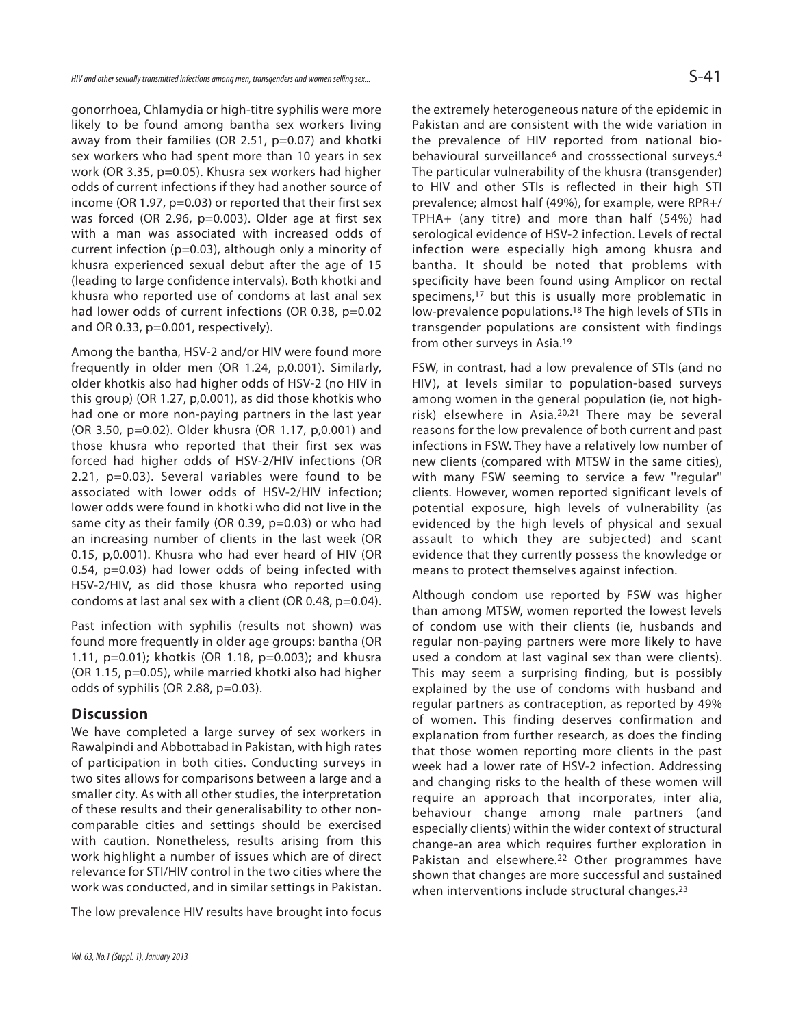HIV and other sexually transmitted infections among men, transgenders and women selling sex...

gonorrhoea, Chlamydia or high-titre syphilis were more likely to be found among bantha sex workers living away from their families (OR 2.51, p=0.07) and khotki sex workers who had spent more than 10 years in sex work (OR 3.35, p=0.05). Khusra sex workers had higher odds of current infections if they had another source of income (OR 1.97, p=0.03) or reported that their first sex was forced (OR 2.96, p=0.003). Older age at first sex with a man was associated with increased odds of current infection (p=0.03), although only a minority of khusra experienced sexual debut after the age of 15 (leading to large confidence intervals). Both khotki and khusra who reported use of condoms at last anal sex had lower odds of current infections (OR 0.38, p=0.02 and OR 0.33, p=0.001, respectively).

Among the bantha, HSV-2 and/or HIV were found more frequently in older men (OR 1.24, p,0.001). Similarly, older khotkis also had higher odds of HSV-2 (no HIV in this group) (OR 1.27, p,0.001), as did those khotkis who had one or more non-paying partners in the last year (OR 3.50, p=0.02). Older khusra (OR 1.17, p,0.001) and those khusra who reported that their first sex was forced had higher odds of HSV-2/HIV infections (OR 2.21, p=0.03). Several variables were found to be associated with lower odds of HSV-2/HIV infection; lower odds were found in khotki who did not live in the same city as their family (OR 0.39, p=0.03) or who had an increasing number of clients in the last week (OR 0.15, p,0.001). Khusra who had ever heard of HIV (OR 0.54, p=0.03) had lower odds of being infected with HSV-2/HIV, as did those khusra who reported using condoms at last anal sex with a client (OR 0.48, p=0.04).

Past infection with syphilis (results not shown) was found more frequently in older age groups: bantha (OR 1.11, p=0.01); khotkis (OR 1.18, p=0.003); and khusra (OR 1.15, p=0.05), while married khotki also had higher odds of syphilis (OR 2.88, p=0.03).

#### **Discussion**

We have completed a large survey of sex workers in Rawalpindi and Abbottabad in Pakistan, with high rates of participation in both cities. Conducting surveys in two sites allows for comparisons between a large and a smaller city. As with all other studies, the interpretation of these results and their generalisability to other noncomparable cities and settings should be exercised with caution. Nonetheless, results arising from this work highlight a number of issues which are of direct relevance for STI/HIV control in the two cities where the work was conducted, and in similar settings in Pakistan.

The low prevalence HIV results have brought into focus

Pakistan and are consistent with the wide variation in the prevalence of HIV reported from national biobehavioural surveillance<sup>6</sup> and crosssectional surveys.<sup>4</sup> The particular vulnerability of the khusra (transgender) to HIV and other STIs is reflected in their high STI prevalence; almost half (49%), for example, were RPR+/ TPHA+ (any titre) and more than half (54%) had serological evidence of HSV-2 infection. Levels of rectal infection were especially high among khusra and bantha. It should be noted that problems with specificity have been found using Amplicor on rectal specimens,<sup>17</sup> but this is usually more problematic in low-prevalence populations.<sup>18</sup> The high levels of STIs in transgender populations are consistent with findings from other surveys in Asia.<sup>19</sup>

FSW, in contrast, had a low prevalence of STIs (and no HIV), at levels similar to population-based surveys among women in the general population (ie, not highrisk) elsewhere in Asia.20,21 There may be several reasons for the low prevalence of both current and past infections in FSW. They have a relatively low number of new clients (compared with MTSW in the same cities), with many FSW seeming to service a few ''regular'' clients. However, women reported significant levels of potential exposure, high levels of vulnerability (as evidenced by the high levels of physical and sexual assault to which they are subjected) and scant evidence that they currently possess the knowledge or means to protect themselves against infection.

Although condom use reported by FSW was higher than among MTSW, women reported the lowest levels of condom use with their clients (ie, husbands and regular non-paying partners were more likely to have used a condom at last vaginal sex than were clients). This may seem a surprising finding, but is possibly explained by the use of condoms with husband and regular partners as contraception, as reported by 49% of women. This finding deserves confirmation and explanation from further research, as does the finding that those women reporting more clients in the past week had a lower rate of HSV-2 infection. Addressing and changing risks to the health of these women will require an approach that incorporates, inter alia, behaviour change among male partners (and especially clients) within the wider context of structural change-an area which requires further exploration in Pakistan and elsewhere.<sup>22</sup> Other programmes have shown that changes are more successful and sustained when interventions include structural changes.<sup>23</sup>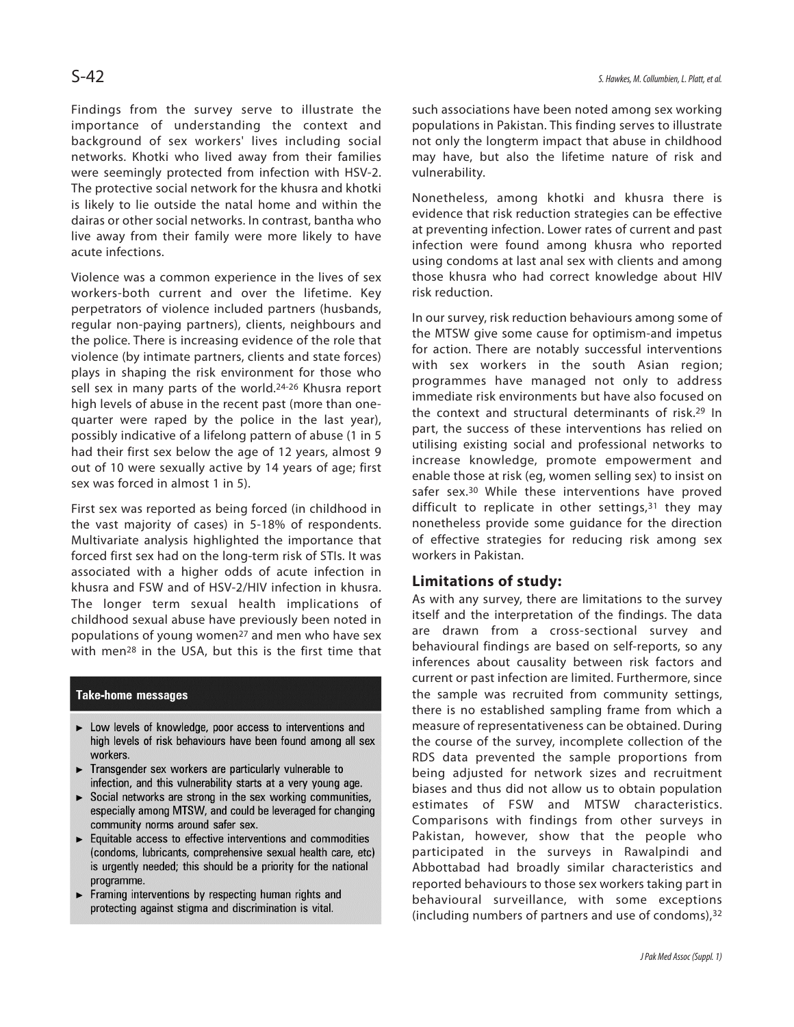Findings from the survey serve to illustrate the importance of understanding the context and background of sex workers' lives including social networks. Khotki who lived away from their families were seemingly protected from infection with HSV-2. The protective social network for the khusra and khotki is likely to lie outside the natal home and within the dairas or other social networks. In contrast, bantha who live away from their family were more likely to have acute infections.

Violence was a common experience in the lives of sex workers-both current and over the lifetime. Key perpetrators of violence included partners (husbands, regular non-paying partners), clients, neighbours and the police. There is increasing evidence of the role that violence (by intimate partners, clients and state forces) plays in shaping the risk environment for those who sell sex in many parts of the world.<sup>24-26</sup> Khusra report high levels of abuse in the recent past (more than onequarter were raped by the police in the last year), possibly indicative of a lifelong pattern of abuse (1 in 5 had their first sex below the age of 12 years, almost 9 out of 10 were sexually active by 14 years of age; first sex was forced in almost 1 in 5).

First sex was reported as being forced (in childhood in the vast majority of cases) in 5-18% of respondents. Multivariate analysis highlighted the importance that forced first sex had on the long-term risk of STIs. It was associated with a higher odds of acute infection in khusra and FSW and of HSV-2/HIV infection in khusra. The longer term sexual health implications of childhood sexual abuse have previously been noted in populations of young women<sup>27</sup> and men who have sex with men<sup>28</sup> in the USA, but this is the first time that

#### **Take-home messages**

- > Low levels of knowledge, poor access to interventions and high levels of risk behaviours have been found among all sex workers.
- Transgender sex workers are particularly vulnerable to infection, and this vulnerability starts at a very young age.
- Social networks are strong in the sex working communities, especially among MTSW, and could be leveraged for changing community norms around safer sex.
- $\blacktriangleright$  Equitable access to effective interventions and commodities (condoms, lubricants, comprehensive sexual health care, etc) is urgently needed; this should be a priority for the national programme.
- $\blacktriangleright$  Framing interventions by respecting human rights and protecting against stigma and discrimination is vital.

such associations have been noted among sex working populations in Pakistan. This finding serves to illustrate not only the longterm impact that abuse in childhood may have, but also the lifetime nature of risk and vulnerability.

Nonetheless, among khotki and khusra there is evidence that risk reduction strategies can be effective at preventing infection. Lower rates of current and past infection were found among khusra who reported using condoms at last anal sex with clients and among those khusra who had correct knowledge about HIV risk reduction.

In our survey, risk reduction behaviours among some of the MTSW give some cause for optimism-and impetus for action. There are notably successful interventions with sex workers in the south Asian region; programmes have managed not only to address immediate risk environments but have also focused on the context and structural determinants of risk.<sup>29</sup> In part, the success of these interventions has relied on utilising existing social and professional networks to increase knowledge, promote empowerment and enable those at risk (eg, women selling sex) to insist on safer sex.<sup>30</sup> While these interventions have proved difficult to replicate in other settings, $31$  they may nonetheless provide some guidance for the direction of effective strategies for reducing risk among sex workers in Pakistan.

#### **Limitations of study:**

As with any survey, there are limitations to the survey itself and the interpretation of the findings. The data are drawn from a cross-sectional survey and behavioural findings are based on self-reports, so any inferences about causality between risk factors and current or past infection are limited. Furthermore, since the sample was recruited from community settings, there is no established sampling frame from which a measure of representativeness can be obtained. During the course of the survey, incomplete collection of the RDS data prevented the sample proportions from being adjusted for network sizes and recruitment biases and thus did not allow us to obtain population estimates of FSW and MTSW characteristics. Comparisons with findings from other surveys in Pakistan, however, show that the people who participated in the surveys in Rawalpindi and Abbottabad had broadly similar characteristics and reported behaviours to those sex workers taking part in behavioural surveillance, with some exceptions (including numbers of partners and use of condoms),<sup>32</sup>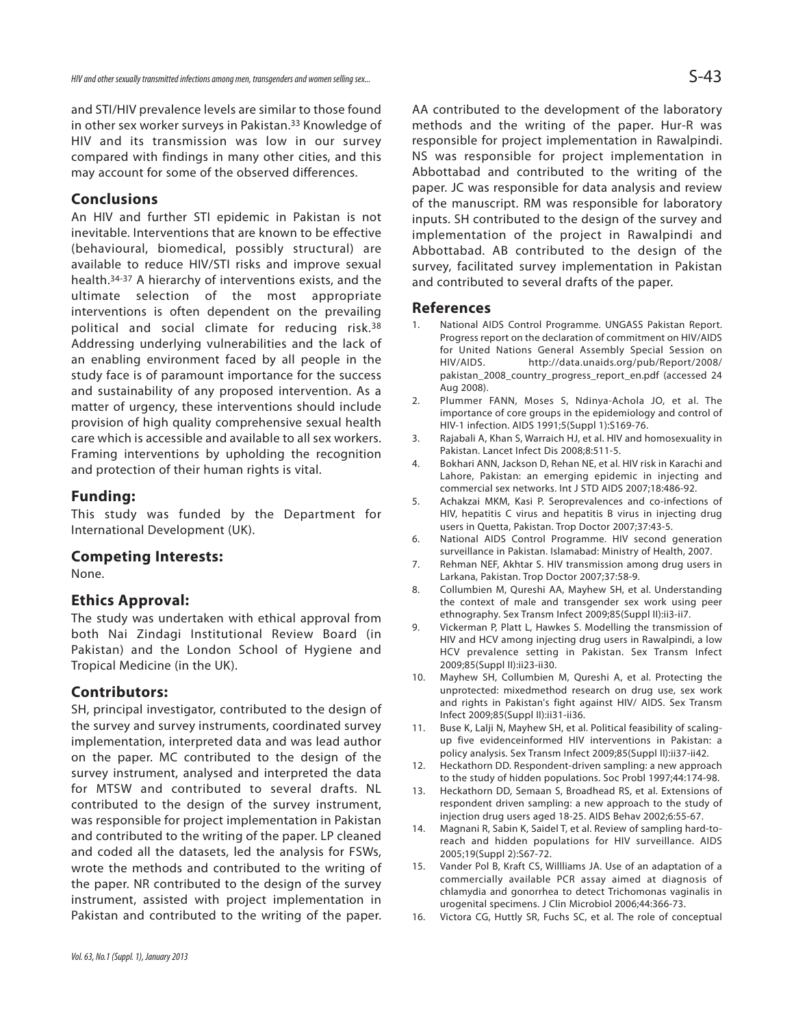and STI/HIV prevalence levels are similar to those found in other sex worker surveys in Pakistan.<sup>33</sup> Knowledge of HIV and its transmission was low in our survey compared with findings in many other cities, and this may account for some of the observed differences.

## **Conclusions**

An HIV and further STI epidemic in Pakistan is not inevitable. Interventions that are known to be effective (behavioural, biomedical, possibly structural) are available to reduce HIV/STI risks and improve sexual health.34-37 A hierarchy of interventions exists, and the ultimate selection of the most appropriate interventions is often dependent on the prevailing political and social climate for reducing risk.<sup>38</sup> Addressing underlying vulnerabilities and the lack of an enabling environment faced by all people in the study face is of paramount importance for the success and sustainability of any proposed intervention. As a matter of urgency, these interventions should include provision of high quality comprehensive sexual health care which is accessible and available to all sex workers. Framing interventions by upholding the recognition and protection of their human rights is vital.

#### **Funding:**

This study was funded by the Department for International Development (UK).

#### **Competing Interests:**

None.

#### **Ethics Approval:**

The study was undertaken with ethical approval from both Nai Zindagi Institutional Review Board (in Pakistan) and the London School of Hygiene and Tropical Medicine (in the UK).

#### **Contributors:**

SH, principal investigator, contributed to the design of the survey and survey instruments, coordinated survey implementation, interpreted data and was lead author on the paper. MC contributed to the design of the survey instrument, analysed and interpreted the data for MTSW and contributed to several drafts. NL contributed to the design of the survey instrument, was responsible for project implementation in Pakistan and contributed to the writing of the paper. LP cleaned and coded all the datasets, led the analysis for FSWs, wrote the methods and contributed to the writing of the paper. NR contributed to the design of the survey instrument, assisted with project implementation in Pakistan and contributed to the writing of the paper. AA contributed to the development of the laboratory methods and the writing of the paper. Hur-R was responsible for project implementation in Rawalpindi. NS was responsible for project implementation in Abbottabad and contributed to the writing of the paper. JC was responsible for data analysis and review of the manuscript. RM was responsible for laboratory inputs. SH contributed to the design of the survey and implementation of the project in Rawalpindi and Abbottabad. AB contributed to the design of the survey, facilitated survey implementation in Pakistan and contributed to several drafts of the paper.

#### **References**

- 1. National AIDS Control Programme. UNGASS Pakistan Report. Progress report on the declaration of commitment on HIV/AIDS for United Nations General Assembly Special Session on HIV/AIDS. http://data.unaids.org/pub/Report/2008/ pakistan\_2008\_country\_progress\_report\_en.pdf (accessed 24 Aug 2008).
- 2. Plummer FANN, Moses S, Ndinya-Achola JO, et al. The importance of core groups in the epidemiology and control of HIV-1 infection. AIDS 1991;5(Suppl 1):S169-76.
- 3. Rajabali A, Khan S, Warraich HJ, et al. HIV and homosexuality in Pakistan. Lancet Infect Dis 2008;8:511-5.
- 4. Bokhari ANN, Jackson D, Rehan NE, et al. HIV risk in Karachi and Lahore, Pakistan: an emerging epidemic in injecting and commercial sex networks. Int J STD AIDS 2007;18:486-92.
- 5. Achakzai MKM, Kasi P. Seroprevalences and co-infections of HIV, hepatitis C virus and hepatitis B virus in injecting drug users in Quetta, Pakistan. Trop Doctor 2007;37:43-5.
- 6. National AIDS Control Programme. HIV second generation surveillance in Pakistan. Islamabad: Ministry of Health, 2007.
- 7. Rehman NEF, Akhtar S. HIV transmission among drug users in Larkana, Pakistan. Trop Doctor 2007;37:58-9.
- 8. Collumbien M, Qureshi AA, Mayhew SH, et al. Understanding the context of male and transgender sex work using peer ethnography. Sex Transm Infect 2009;85(Suppl II):ii3-ii7.
- 9. Vickerman P, Platt L, Hawkes S. Modelling the transmission of HIV and HCV among injecting drug users in Rawalpindi, a low HCV prevalence setting in Pakistan. Sex Transm Infect 2009;85(Suppl II):ii23-ii30.
- 10. Mayhew SH, Collumbien M, Qureshi A, et al. Protecting the unprotected: mixedmethod research on drug use, sex work and rights in Pakistan's fight against HIV/ AIDS. Sex Transm Infect 2009;85(Suppl II):ii31-ii36.
- 11. Buse K, Lalji N, Mayhew SH, et al. Political feasibility of scalingup five evidenceinformed HIV interventions in Pakistan: a policy analysis. Sex Transm Infect 2009;85(Suppl II):ii37-ii42.
- 12. Heckathorn DD. Respondent-driven sampling: a new approach to the study of hidden populations. Soc Probl 1997;44:174-98.
- 13. Heckathorn DD, Semaan S, Broadhead RS, et al. Extensions of respondent driven sampling: a new approach to the study of injection drug users aged 18-25. AIDS Behav 2002;6:55-67.
- 14. Magnani R, Sabin K, Saidel T, et al. Review of sampling hard-toreach and hidden populations for HIV surveillance. AIDS 2005;19(Suppl 2):S67-72.
- 15. Vander Pol B, Kraft CS, Willliams JA. Use of an adaptation of a commercially available PCR assay aimed at diagnosis of chlamydia and gonorrhea to detect Trichomonas vaginalis in urogenital specimens. J Clin Microbiol 2006;44:366-73.
- 16. Victora CG, Huttly SR, Fuchs SC, et al. The role of conceptual